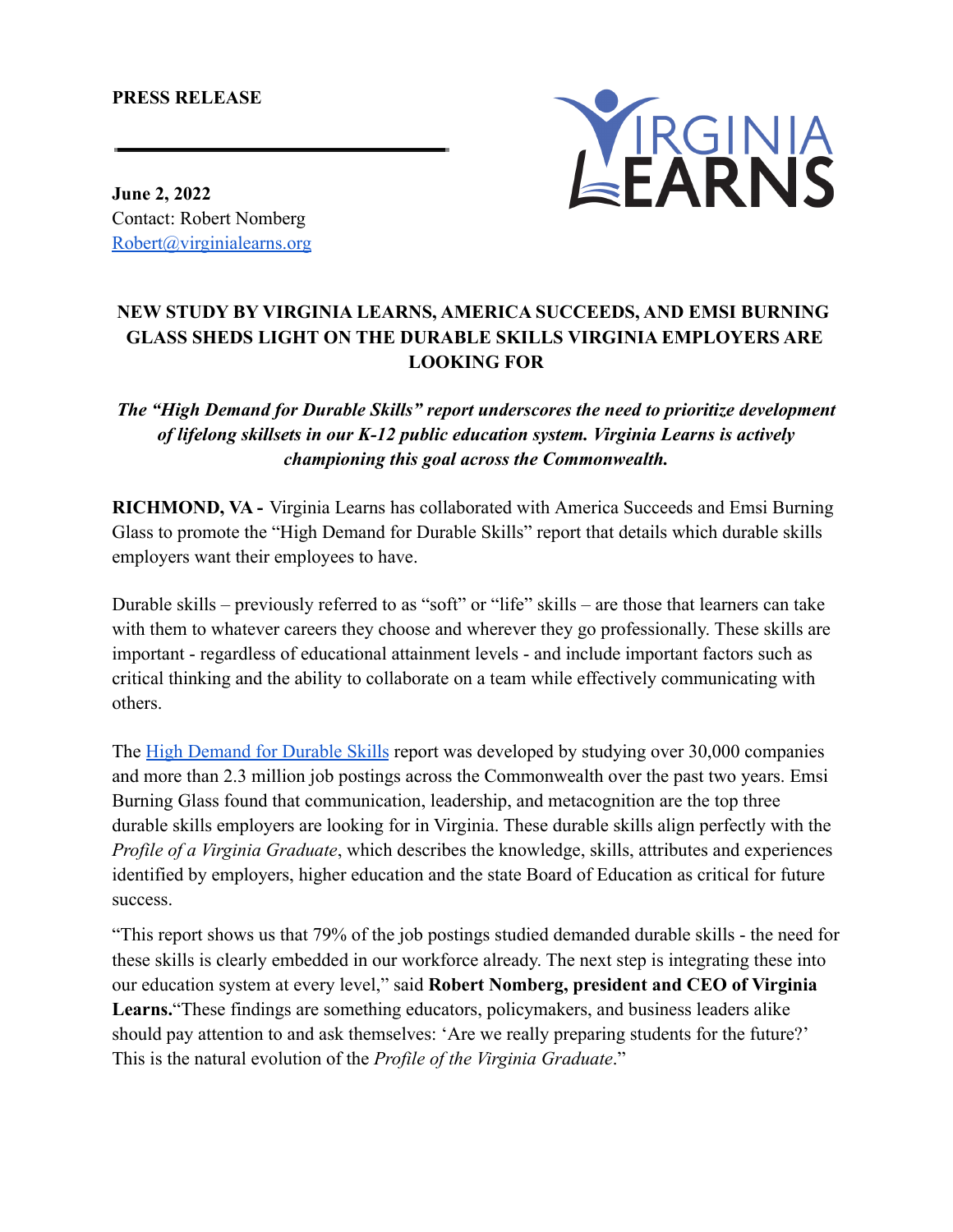### **PRESS RELEASE**



**June 2, 2022** Contact: Robert Nomberg [Robert@virginialearns.org](mailto:Robert@virginialearns.org)

# **NEW STUDY BY VIRGINIA LEARNS, AMERICA SUCCEEDS, AND EMSI BURNING GLASS SHEDS LIGHT ON THE DURABLE SKILLS VIRGINIA EMPLOYERS ARE LOOKING FOR**

*The "High Demand for Durable Skills" report underscores the need to prioritize development of lifelong skillsets in our K-12 public education system. Virginia Learns is actively championing this goal across the Commonwealth.*

**RICHMOND, VA -** Virginia Learns has collaborated with America Succeeds and Emsi Burning Glass to promote the "High Demand for Durable Skills" report that details which durable skills employers want their employees to have.

Durable skills – previously referred to as "soft" or "life" skills – are those that learners can take with them to whatever careers they choose and wherever they go professionally. These skills are important - regardless of educational attainment levels - and include important factors such as critical thinking and the ability to collaborate on a team while effectively communicating with others.

The [High Demand for Durable Skills](https://www.virginialearns.org/sites/default/files/2022-05/Durable%20Skills%20Report.pdf) report was developed by studying over 30,000 companies and more than 2.3 million job postings across the Commonwealth over the past two years. Emsi Burning Glass found that communication, leadership, and metacognition are the top three durable skills employers are looking for in Virginia. These durable skills align perfectly with the *Profile of a Virginia Graduate*, which describes the knowledge, skills, attributes and experiences identified by employers, higher education and the state Board of Education as critical for future success.

"This report shows us that 79% of the job postings studied demanded durable skills - the need for these skills is clearly embedded in our workforce already. The next step is integrating these into our education system at every level," said **Robert Nomberg, president and CEO of Virginia Learns.**"These findings are something educators, policymakers, and business leaders alike should pay attention to and ask themselves: 'Are we really preparing students for the future?' This is the natural evolution of the *Profile of the Virginia Graduate*."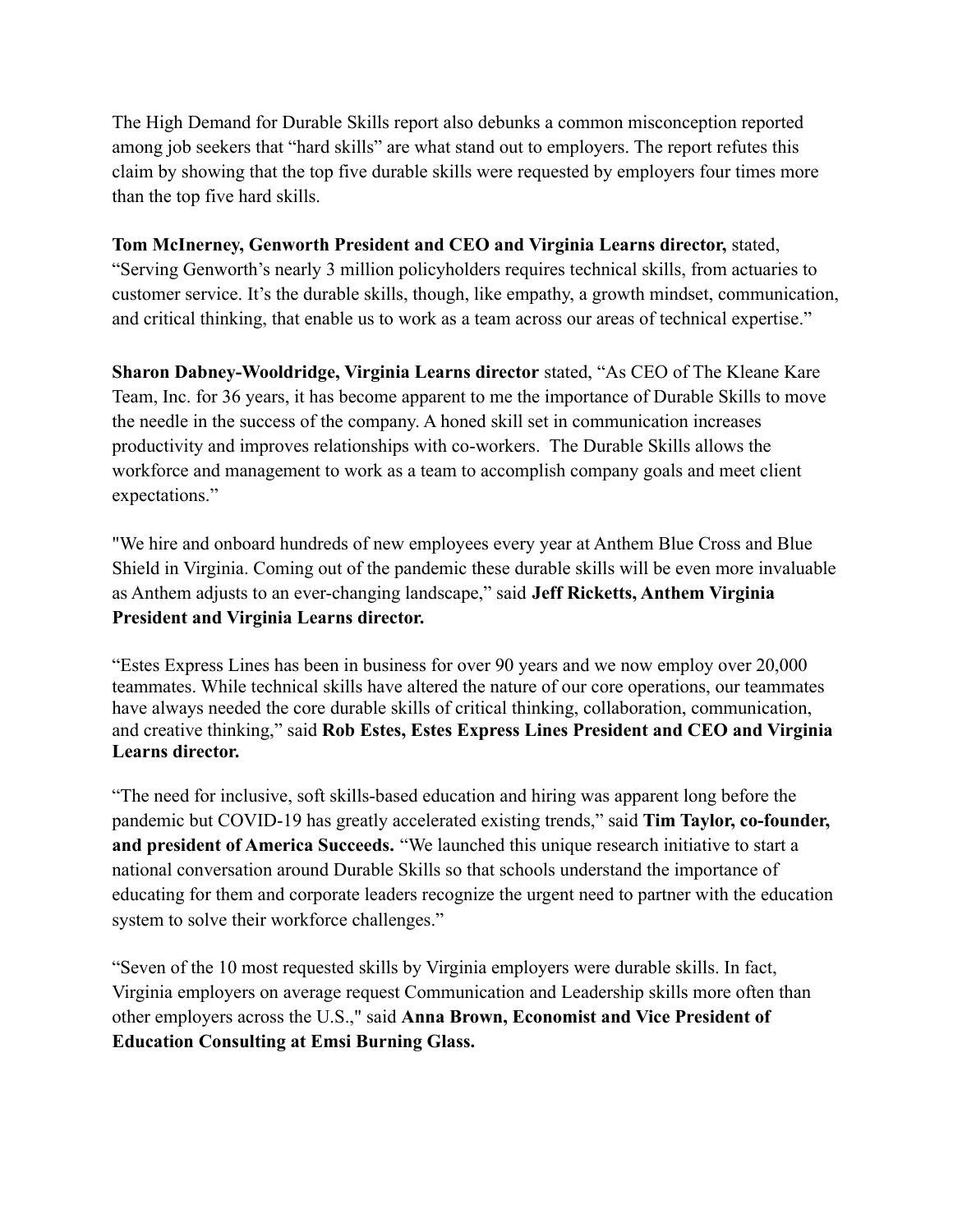The High Demand for Durable Skills report also debunks a common misconception reported among job seekers that "hard skills" are what stand out to employers. The report refutes this claim by showing that the top five durable skills were requested by employers four times more than the top five hard skills.

### **Tom McInerney, Genworth President and CEO and Virginia Learns director,** stated,

"Serving Genworth's nearly 3 million policyholders requires technical skills, from actuaries to customer service. It's the durable skills, though, like empathy, a growth mindset, communication, and critical thinking, that enable us to work as a team across our areas of technical expertise."

**Sharon Dabney-Wooldridge, Virginia Learns director** stated, "As CEO of The Kleane Kare Team, Inc. for 36 years, it has become apparent to me the importance of Durable Skills to move the needle in the success of the company. A honed skill set in communication increases productivity and improves relationships with co-workers. The Durable Skills allows the workforce and management to work as a team to accomplish company goals and meet client expectations."

"We hire and onboard hundreds of new employees every year at Anthem Blue Cross and Blue Shield in Virginia. Coming out of the pandemic these durable skills will be even more invaluable as Anthem adjusts to an ever-changing landscape," said **Jeff Ricketts, Anthem Virginia President and Virginia Learns director.**

"Estes Express Lines has been in business for over 90 years and we now employ over 20,000 teammates. While technical skills have altered the nature of our core operations, our teammates have always needed the core durable skills of critical thinking, collaboration, communication, and creative thinking," said **Rob Estes, Estes Express Lines President and CEO and Virginia Learns director.**

"The need for inclusive, soft skills-based education and hiring was apparent long before the pandemic but COVID-19 has greatly accelerated existing trends," said **Tim Taylor, co-founder, and president of America Succeeds.** "We launched this unique research initiative to start a national conversation around Durable Skills so that schools understand the importance of educating for them and corporate leaders recognize the urgent need to partner with the education system to solve their workforce challenges."

"Seven of the 10 most requested skills by Virginia employers were durable skills. In fact, Virginia employers on average request Communication and Leadership skills more often than other employers across the U.S.," said **Anna Brown, Economist and Vice President of Education Consulting at Emsi Burning Glass.**